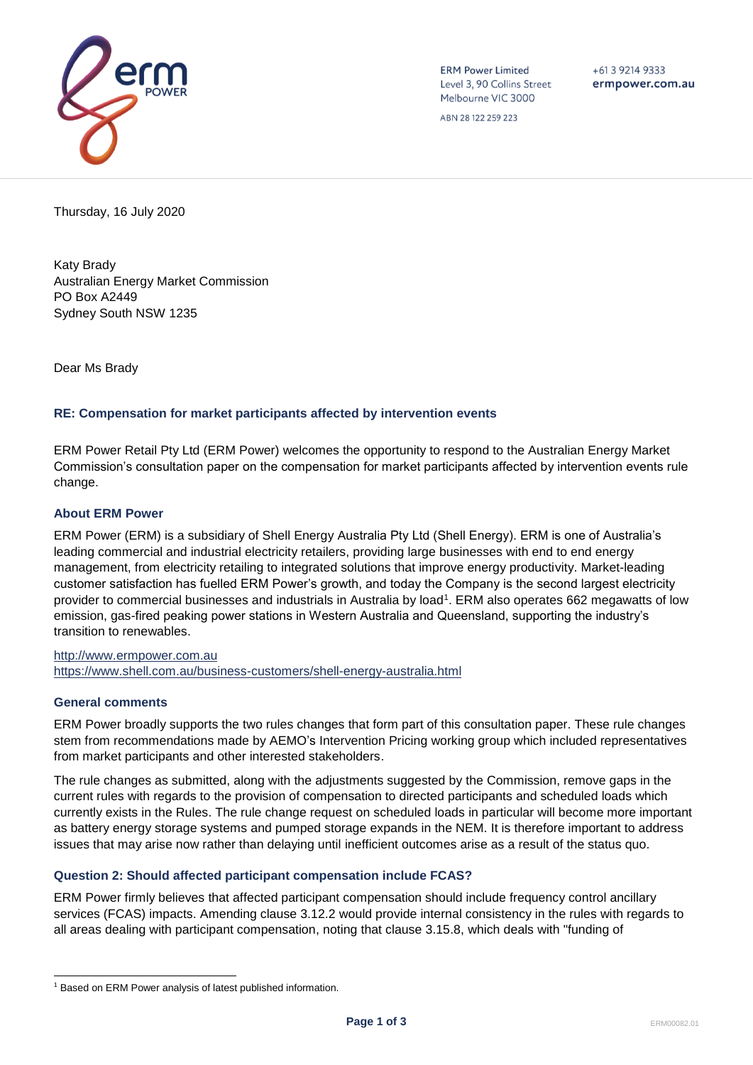

**ERM Power Limited** Level 3, 90 Collins Street Melbourne VIC 3000

 $+61392149333$ ermpower.com.au

ABN 28 122 259 223

Thursday, 16 July 2020

Katy Brady Australian Energy Market Commission PO Box A2449 Sydney South NSW 1235

Dear Ms Brady

## **RE: Compensation for market participants affected by intervention events**

ERM Power Retail Pty Ltd (ERM Power) welcomes the opportunity to respond to the Australian Energy Market Commission's consultation paper on the compensation for market participants affected by intervention events rule change.

# **About ERM Power**

ERM Power (ERM) is a subsidiary of Shell Energy Australia Pty Ltd (Shell Energy). ERM is one of Australia's leading commercial and industrial electricity retailers, providing large businesses with end to end energy management, from electricity retailing to integrated solutions that improve energy productivity. Market-leading customer satisfaction has fuelled ERM Power's growth, and today the Company is the second largest electricity provider to commercial businesses and industrials in Australia by load<sup>1</sup>. ERM also operates 662 megawatts of low emission, gas-fired peaking power stations in Western Australia and Queensland, supporting the industry's transition to renewables.

[http://www.ermpower.com.au](http://www.ermpower.com.au/) <https://www.shell.com.au/business-customers/shell-energy-australia.html>

#### **General comments**

ERM Power broadly supports the two rules changes that form part of this consultation paper. These rule changes stem from recommendations made by AEMO's Intervention Pricing working group which included representatives from market participants and other interested stakeholders.

The rule changes as submitted, along with the adjustments suggested by the Commission, remove gaps in the current rules with regards to the provision of compensation to directed participants and scheduled loads which currently exists in the Rules. The rule change request on scheduled loads in particular will become more important as battery energy storage systems and pumped storage expands in the NEM. It is therefore important to address issues that may arise now rather than delaying until inefficient outcomes arise as a result of the status quo.

## **Question 2: Should affected participant compensation include FCAS?**

ERM Power firmly believes that affected participant compensation should include frequency control ancillary services (FCAS) impacts. Amending clause 3.12.2 would provide internal consistency in the rules with regards to all areas dealing with participant compensation, noting that clause 3.15.8, which deals with "funding of

<sup>&</sup>lt;sup>1</sup> Based on ERM Power analysis of latest published information.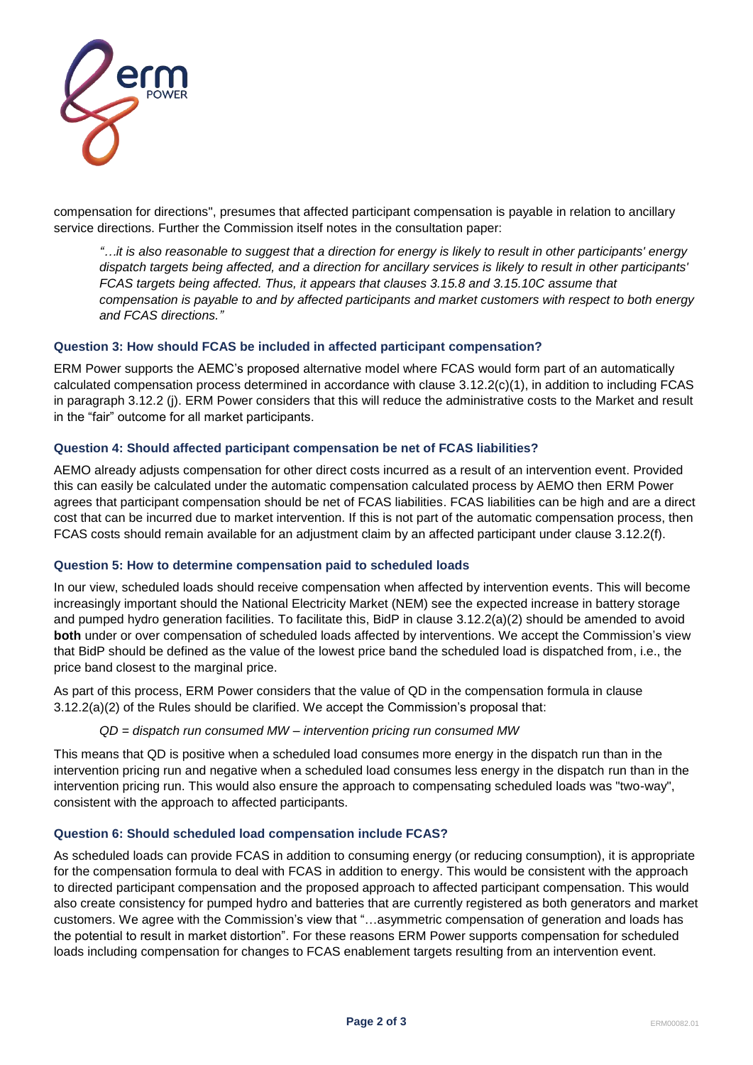

compensation for directions", presumes that affected participant compensation is payable in relation to ancillary service directions. Further the Commission itself notes in the consultation paper:

*"…it is also reasonable to suggest that a direction for energy is likely to result in other participants' energy dispatch targets being affected, and a direction for ancillary services is likely to result in other participants' FCAS targets being affected. Thus, it appears that clauses 3.15.8 and 3.15.10C assume that compensation is payable to and by affected participants and market customers with respect to both energy and FCAS directions."*

## **Question 3: How should FCAS be included in affected participant compensation?**

ERM Power supports the AEMC's proposed alternative model where FCAS would form part of an automatically calculated compensation process determined in accordance with clause 3.12.2(c)(1), in addition to including FCAS in paragraph 3.12.2 (j). ERM Power considers that this will reduce the administrative costs to the Market and result in the "fair" outcome for all market participants.

# **Question 4: Should affected participant compensation be net of FCAS liabilities?**

AEMO already adjusts compensation for other direct costs incurred as a result of an intervention event. Provided this can easily be calculated under the automatic compensation calculated process by AEMO then ERM Power agrees that participant compensation should be net of FCAS liabilities. FCAS liabilities can be high and are a direct cost that can be incurred due to market intervention. If this is not part of the automatic compensation process, then FCAS costs should remain available for an adjustment claim by an affected participant under clause 3.12.2(f).

## **Question 5: How to determine compensation paid to scheduled loads**

In our view, scheduled loads should receive compensation when affected by intervention events. This will become increasingly important should the National Electricity Market (NEM) see the expected increase in battery storage and pumped hydro generation facilities. To facilitate this, BidP in clause 3.12.2(a)(2) should be amended to avoid **both** under or over compensation of scheduled loads affected by interventions. We accept the Commission's view that BidP should be defined as the value of the lowest price band the scheduled load is dispatched from, i.e., the price band closest to the marginal price.

As part of this process, ERM Power considers that the value of QD in the compensation formula in clause 3.12.2(a)(2) of the Rules should be clarified. We accept the Commission's proposal that:

## *QD = dispatch run consumed MW – intervention pricing run consumed MW*

This means that QD is positive when a scheduled load consumes more energy in the dispatch run than in the intervention pricing run and negative when a scheduled load consumes less energy in the dispatch run than in the intervention pricing run. This would also ensure the approach to compensating scheduled loads was "two-way", consistent with the approach to affected participants.

## **Question 6: Should scheduled load compensation include FCAS?**

As scheduled loads can provide FCAS in addition to consuming energy (or reducing consumption), it is appropriate for the compensation formula to deal with FCAS in addition to energy. This would be consistent with the approach to directed participant compensation and the proposed approach to affected participant compensation. This would also create consistency for pumped hydro and batteries that are currently registered as both generators and market customers. We agree with the Commission's view that "…asymmetric compensation of generation and loads has the potential to result in market distortion". For these reasons ERM Power supports compensation for scheduled loads including compensation for changes to FCAS enablement targets resulting from an intervention event.